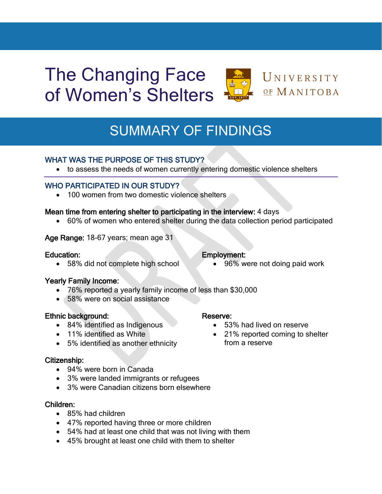# The Changing Face of Women's Shelters



## UNIVERSITY OF MANITOBA

## SUMMARY OF FINDINGS

## WHAT WAS THE PURPOSE OF THIS STUDY?

to assess the needs of women currently entering domestic violence shelters

## WHO PARTICIPATED IN OUR STUDY?

• 100 women from two domestic violence shelters

### Mean time from entering shelter to participating in the interview: 4 days

60% of women who entered shelter during the data collection period participated

### Age Range: 18-67 years; mean age 31

#### Education:

58% did not complete high school

#### Yearly Family Income:

- 76% reported a yearly family income of less than \$30,000
- 58% were on social assistance

## Ethnic background:

- 84% identified as Indigenous
- 11% identified as White
- 5% identified as another ethnicity

#### Citizenship:

- 94% were born in Canada
- 3% were landed immigrants or refugees
- 3% were Canadian citizens born elsewhere

#### Children:

- 85% had children
- 47% reported having three or more children
- 54% had at least one child that was not living with them
- 45% brought at least one child with them to shelter

## Reserve:

Employment:

- 53% had lived on reserve
- 21% reported coming to shelter from a reserve

96% were not doing paid work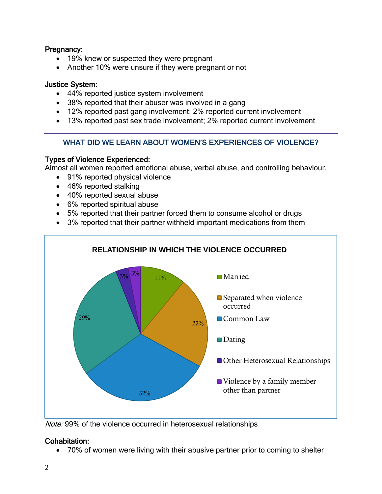### Pregnancy:

- 19% knew or suspected they were pregnant
- Another 10% were unsure if they were pregnant or not

### Justice System:

- 44% reported justice system involvement
- 38% reported that their abuser was involved in a gang
- 12% reported past gang involvement; 2% reported current involvement
- 13% reported past sex trade involvement; 2% reported current involvement

## WHAT DID WE LEARN ABOUT WOMEN'S EXPERIENCES OF VIOLENCE?

### Types of Violence Experienced:

Almost all women reported emotional abuse, verbal abuse, and controlling behaviour.

- 91% reported physical violence
- 46% reported stalking
- 40% reported sexual abuse
- 6% reported spiritual abuse
- 5% reported that their partner forced them to consume alcohol or drugs
- 3% reported that their partner withheld important medications from them



Note: 99% of the violence occurred in heterosexual relationships

## Cohabitation:

70% of women were living with their abusive partner prior to coming to shelter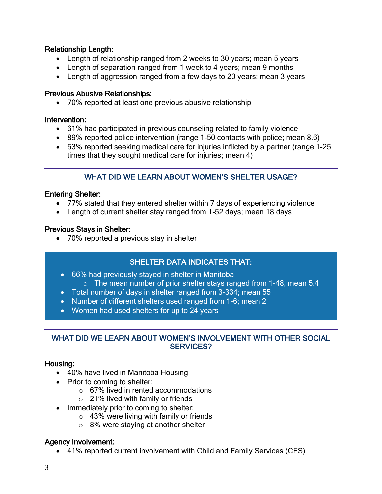## Relationship Length:

- Length of relationship ranged from 2 weeks to 30 years; mean 5 years
- Length of separation ranged from 1 week to 4 years; mean 9 months
- Length of aggression ranged from a few days to 20 years; mean 3 years

## Previous Abusive Relationships:

70% reported at least one previous abusive relationship

## Intervention:

- 61% had participated in previous counseling related to family violence
- 89% reported police intervention (range 1-50 contacts with police; mean 8.6)
- 53% reported seeking medical care for injuries inflicted by a partner (range 1-25 times that they sought medical care for injuries; mean 4)

## WHAT DID WE LEARN ABOUT WOMEN'S SHELTER USAGE?

## Entering Shelter:

- 77% stated that they entered shelter within 7 days of experiencing violence
- Length of current shelter stay ranged from 1-52 days; mean 18 days

## Previous Stays in Shelter:

• 70% reported a previous stay in shelter

## SHELTER DATA INDICATES THAT:

- 66% had previously stayed in shelter in Manitoba
	- o The mean number of prior shelter stays ranged from 1-48, mean 5.4
- Total number of days in shelter ranged from 3-334; mean 55
- Number of different shelters used ranged from 1-6; mean 2
- Women had used shelters for up to 24 years

## WHAT DID WE LEARN ABOUT WOMEN'S INVOLVEMENT WITH OTHER SOCIAL SERVICES?

## Housing:

- 40% have lived in Manitoba Housing
- Prior to coming to shelter:
	- o 67% lived in rented accommodations
	- o 21% lived with family or friends
- Immediately prior to coming to shelter:
	- $\circ$  43% were living with family or friends
	- o 8% were staying at another shelter

## Agency Involvement:

41% reported current involvement with Child and Family Services (CFS)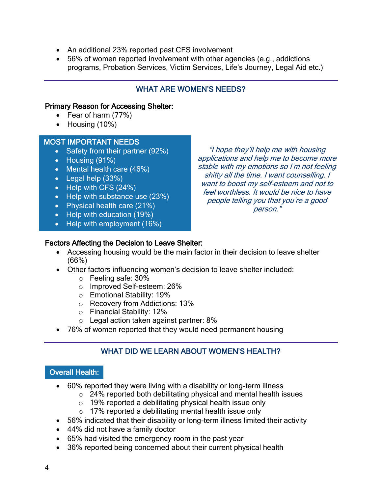- An additional 23% reported past CFS involvement
- 56% of women reported involvement with other agencies (e.g., addictions programs, Probation Services, Victim Services, Life's Journey, Legal Aid etc.)

## WHAT ARE WOMEN'S NEEDS?

### Primary Reason for Accessing Shelter:

- Fear of harm (77%)
- $\bullet$  Housing (10%)

### MOST IMPORTANT NEEDS

- Safety from their partner (92%)
- Housing (91%)
- Mental health care (46%)
- Legal help (33%)
- Help with CFS (24%)
- Help with substance use (23%)
- Physical health care (21%)
- Help with education (19%)
- Help with employment (16%)

"I hope they'll help me with housing applications and help me to become more stable with my emotions so I'm not feeling shitty all the time. I want counselling. I want to boost my self-esteem and not to feel worthless. It would be nice to have people telling you that you're a good person."

### Factors Affecting the Decision to Leave Shelter:

- Accessing housing would be the main factor in their decision to leave shelter (66%)
- Other factors influencing women's decision to leave shelter included:
	- o Feeling safe: 30%
	- o Improved Self-esteem: 26%
	- o Emotional Stability: 19%
	- o Recovery from Addictions: 13%
	- o Financial Stability: 12%
	- o Legal action taken against partner: 8%
- 76% of women reported that they would need permanent housing

## WHAT DID WE LEARN ABOUT WOMEN'S HEALTH?

## Overall Health:

- 60% reported they were living with a disability or long-term illness
	- o 24% reported both debilitating physical and mental health issues
	- o 19% reported a debilitating physical health issue only
	- $\circ$  17% reported a debilitating mental health issue only
- 56% indicated that their disability or long-term illness limited their activity
- 44% did not have a family doctor
- 65% had visited the emergency room in the past year
- 36% reported being concerned about their current physical health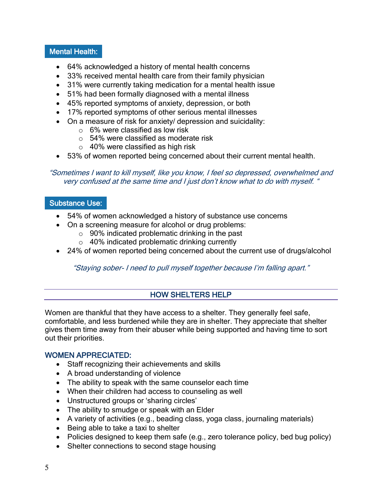## Mental Health:

- 64% acknowledged a history of mental health concerns
- 33% received mental health care from their family physician
- 31% were currently taking medication for a mental health issue
- 51% had been formally diagnosed with a mental illness
- 45% reported symptoms of anxiety, depression, or both
- 17% reported symptoms of other serious mental illnesses
- On a measure of risk for anxiety/ depression and suicidality:
	- $\circ$  6% were classified as low risk
	- o 54% were classified as moderate risk
	- $\circ$  40% were classified as high risk
- 53% of women reported being concerned about their current mental health.

#### "Sometimes I want to kill myself, like you know, I feel so depressed, overwhelmed and very confused at the same time and I just don't know what to do with myself. "

### Substance Use:

- 54% of women acknowledged a history of substance use concerns
- On a screening measure for alcohol or drug problems:
	- $\circ$  90% indicated problematic drinking in the past
	- o 40% indicated problematic drinking currently
- 24% of women reported being concerned about the current use of drugs/alcohol

## "Staying sober- I need to pull myself together because I'm falling apart."

## HOW SHELTERS HELP

Women are thankful that they have access to a shelter. They generally feel safe, comfortable, and less burdened while they are in shelter. They appreciate that shelter gives them time away from their abuser while being supported and having time to sort out their priorities.

## WOMEN APPRECIATED:

- Staff recognizing their achievements and skills
- A broad understanding of violence
- The ability to speak with the same counselor each time
- When their children had access to counseling as well
- Unstructured groups or 'sharing circles'
- The ability to smudge or speak with an Elder
- A variety of activities (e.g., beading class, yoga class, journaling materials)
- Being able to take a taxi to shelter
- Policies designed to keep them safe (e.g., zero tolerance policy, bed bug policy)
- Shelter connections to second stage housing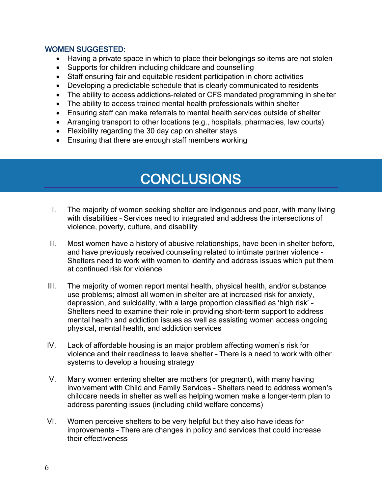### WOMEN SUGGESTED:

l.

l

- Having a private space in which to place their belongings so items are not stolen
- Supports for children including childcare and counselling
- Staff ensuring fair and equitable resident participation in chore activities
- Developing a predictable schedule that is clearly communicated to residents
- The ability to access addictions-related or CFS mandated programming in shelter
- The ability to access trained mental health professionals within shelter
- Ensuring staff can make referrals to mental health services outside of shelter
- Arranging transport to other locations (e.g., hospitals, pharmacies, law courts)
- Flexibility regarding the 30 day cap on shelter stays
- **Ensuring that there are enough staff members working**

## **CONCLUSIONS**

- I. The majority of women seeking shelter are Indigenous and poor, with many living with disabilities – Services need to integrated and address the intersections of violence, poverty, culture, and disability
- II. Most women have a history of abusive relationships, have been in shelter before, and have previously received counseling related to intimate partner violence - Shelters need to work with women to identify and address issues which put them at continued risk for violence
- III. The majority of women report mental health, physical health, and/or substance use problems; almost all women in shelter are at increased risk for anxiety, depression, and suicidality, with a large proportion classified as 'high risk' – Shelters need to examine their role in providing short-term support to address mental health and addiction issues as well as assisting women access ongoing physical, mental health, and addiction services
- IV. Lack of affordable housing is an major problem affecting women's risk for violence and their readiness to leave shelter – There is a need to work with other systems to develop a housing strategy
- V. Many women entering shelter are mothers (or pregnant), with many having involvement with Child and Family Services – Shelters need to address women's childcare needs in shelter as well as helping women make a longer-term plan to address parenting issues (including child welfare concerns)
- VI. Women perceive shelters to be very helpful but they also have ideas for improvements – There are changes in policy and services that could increase their effectiveness